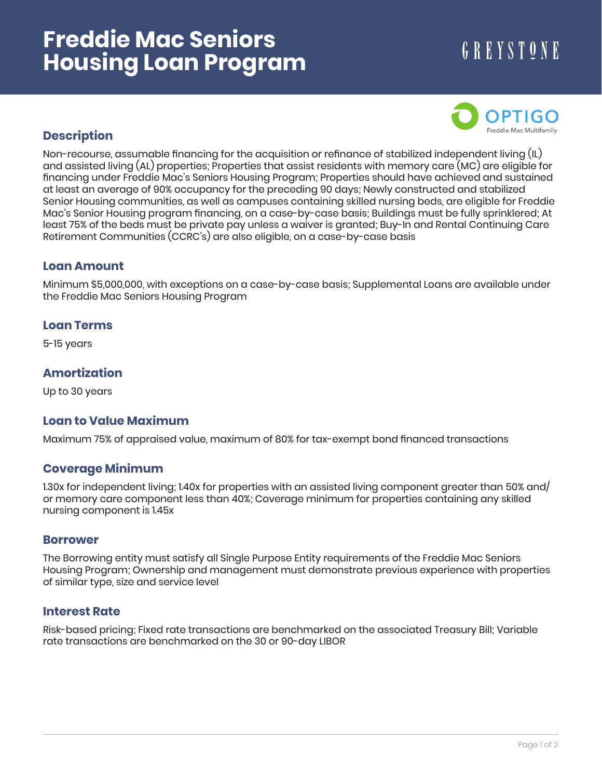# **Freddie Mac Seniors Housing Loan Program**

# GREYSTONE



# **Description**

Non-recourse, assumable financing for the acquisition or refinance of stabilized independent living (IL) and assisted living (AL) properties; Properties that assist residents with memory care (MC) are eligible for financing under Freddie Mac's Seniors Housing Program; Properties should have achieved and sustained at least an average of 90% occupancy for the preceding 90 days; Newly constructed and stabilized Senior Housing communities, as well as campuses containing skilled nursing beds, are eligible for Freddie Mac's Senior Housing program financing, on a case-by-case basis; Buildings must be fully sprinklered; At least 75% of the beds must be private pay unless a waiver is granted; Buy-In and Rental Continuing Care Retirement Communities (CCRC's) are also eligible, on a case-by-case basis

# **Loan Amount**

Minimum \$5,000,000, with exceptions on a case-by-case basis; Supplemental Loans are available under the Freddie Mac Seniors Housing Program

#### **Loan Terms**

5-15 years

# **Amortization**

Up to 30 years

# **Loan to Value Maximum**

Maximum 75% of appraised value, maximum of 80% for tax-exempt bond financed transactions

# **Coverage Minimum**

1.30x for independent living; 1.40x for properties with an assisted living component greater than 50% and/ or memory care component less than 40%; Coverage minimum for properties containing any skilled nursing component is 1.45x

#### **Borrower**

The Borrowing entity must satisfy all Single Purpose Entity requirements of the Freddie Mac Seniors Housing Program; Ownership and management must demonstrate previous experience with properties of similar type, size and service level

#### **Interest Rate**

Risk-based pricing; Fixed rate transactions are benchmarked on the associated Treasury Bill; Variable rate transactions are benchmarked on the 30 or 90-day LIBOR